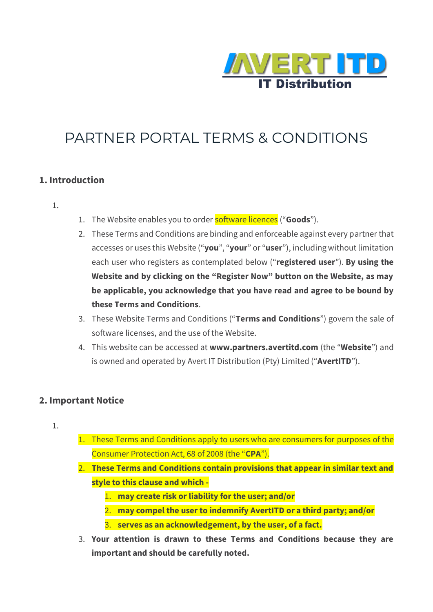

# PARTNER PORTAL TERMS & CONDITIONS

#### **1. Introduction**

- 1.
- 1. The Website enables you to order software licences ("**Goods**").
- 2. These Terms and Conditions are binding and enforceable against every partner that accesses or uses this Website ("**you**", "**your**" or "**user**"), including without limitation each user who registers as contemplated below ("**registered user**"). **By using the Website and by clicking on the "Register Now" button on the Website, as may be applicable, you acknowledge that you have read and agree to be bound by these Terms and Conditions**.
- 3. These Website Terms and Conditions ("**Terms and Conditions**") govern the sale of software licenses, and the use of the Website.
- 4. This website can be accessed at **[www.partners.avertitd.com](http://www.partners.avertitd.com/)** (the "**Website**") and is owned and operated by Avert IT Distribution (Pty) Limited ("**AvertITD**").

#### **2. Important Notice**

- 1.
- 1. These Terms and Conditions apply to users who are consumers for purposes of the Consumer Protection Act, 68 of 2008 (the "**CPA**").
- 2. **These Terms and Conditions contain provisions that appear in similar text and style to this clause and which -**
	- 1. **may create risk or liability for the user; and/or**
	- 2. **may compel the user to indemnify AvertITD or a third party; and/or**
	- 3. **serves as an acknowledgement, by the user, of a fact.**
- 3. **Your attention is drawn to these Terms and Conditions because they are important and should be carefully noted.**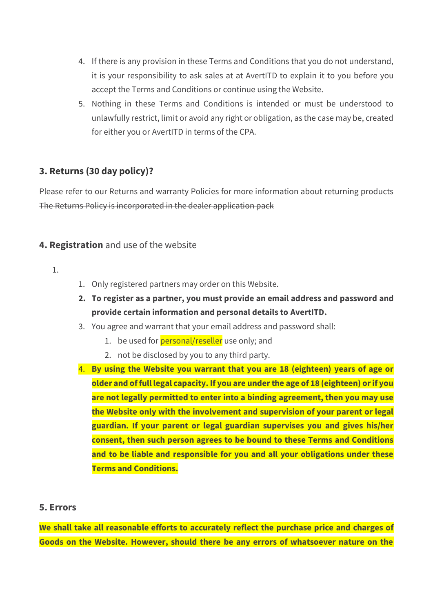- 4. If there is any provision in these Terms and Conditions that you do not understand, it is your responsibility to ask sales at at AvertITD to explain it to you before you accept the Terms and Conditions or continue using the Website.
- 5. Nothing in these Terms and Conditions is intended or must be understood to unlawfully restrict, limit or avoid any right or obligation, as the case may be, created for either you or AvertITD in terms of the CPA.

## **3. Returns (30 day policy)?**

Please refer to our Returns and warranty Policies for more information about returning products The Returns Policy is incorporated in the dealer application pack

## **4. Registration** and use of the website

- 1.
- 1. Only registered partners may order on this Website.
- **2. To register as a partner, you must provide an email address and password and provide certain information and personal details to AvertITD.**
- 3. You agree and warrant that your email address and password shall:
	- 1. be used for **personal/reseller** use only; and
	- 2. not be disclosed by you to any third party.
- 4. **By using the Website you warrant that you are 18 (eighteen) years of age or older and of full legal capacity. If you are under the age of 18 (eighteen) or if you are not legally permitted to enter into a binding agreement, then you may use the Website only with the involvement and supervision of your parent or legal guardian. If your parent or legal guardian supervises you and gives his/her consent, then such person agrees to be bound to these Terms and Conditions and to be liable and responsible for you and all your obligations under these Terms and Conditions.**

#### **5. Errors**

**We shall take all reasonable efforts to accurately reflect the purchase price and charges of Goods on the Website. However, should there be any errors of whatsoever nature on the**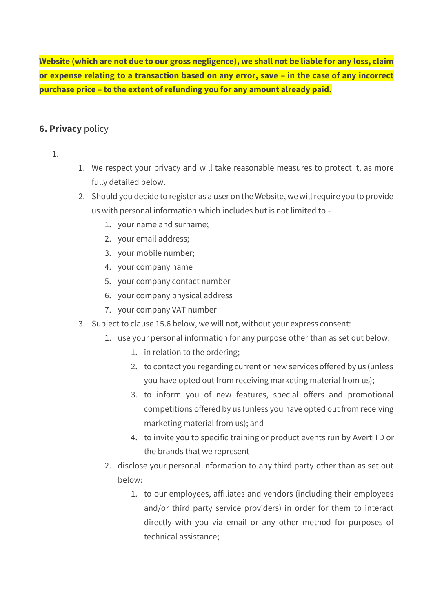**Website (which are not due to our gross negligence), we shall not be liable for any loss, claim or expense relating to a transaction based on any error, save – in the case of any incorrect purchase price – to the extent of refunding you for any amount already paid.**

## **6. Privacy** policy

1.

- 1. We respect your privacy and will take reasonable measures to protect it, as more fully detailed below.
- 2. Should you decide to register as a user on the Website, we will require you to provide us with personal information which includes but is not limited to -
	- 1. your name and surname;
	- 2. your email address;
	- 3. your mobile number;
	- 4. your company name
	- 5. your company contact number
	- 6. your company physical address
	- 7. your company VAT number
- 3. Subject to clause 15.6 below, we will not, without your express consent:
	- 1. use your personal information for any purpose other than as set out below:
		- 1. in relation to the ordering;
		- 2. to contact you regarding current or new services offered by us (unless you have opted out from receiving marketing material from us);
		- 3. to inform you of new features, special offers and promotional competitions offered by us (unless you have opted out from receiving marketing material from us); and
		- 4. to invite you to specific training or product events run by AvertITD or the brands that we represent
	- 2. disclose your personal information to any third party other than as set out below:
		- 1. to our employees, affiliates and vendors (including their employees and/or third party service providers) in order for them to interact directly with you via email or any other method for purposes of technical assistance;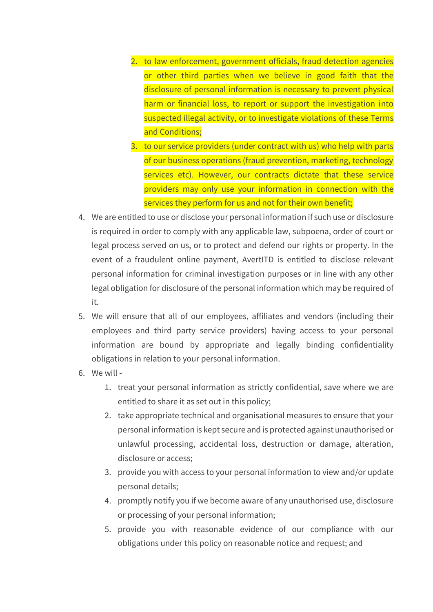- 2. to law enforcement, government officials, fraud detection agencies or other third parties when we believe in good faith that the disclosure of personal information is necessary to prevent physical harm or financial loss, to report or support the investigation into suspected illegal activity, or to investigate violations of these Terms and Conditions;
- 3. to our service providers (under contract with us) who help with parts of our business operations (fraud prevention, marketing, technology services etc). However, our contracts dictate that these service providers may only use your information in connection with the services they perform for us and not for their own benefit;
- 4. We are entitled to use or disclose your personal information if such use or disclosure is required in order to comply with any applicable law, subpoena, order of court or legal process served on us, or to protect and defend our rights or property. In the event of a fraudulent online payment, AvertITD is entitled to disclose relevant personal information for criminal investigation purposes or in line with any other legal obligation for disclosure of the personal information which may be required of it.
- 5. We will ensure that all of our employees, affiliates and vendors (including their employees and third party service providers) having access to your personal information are bound by appropriate and legally binding confidentiality obligations in relation to your personal information.
- 6. We will
	- 1. treat your personal information as strictly confidential, save where we are entitled to share it as set out in this policy;
	- 2. take appropriate technical and organisational measures to ensure that your personal information is kept secure and is protected against unauthorised or unlawful processing, accidental loss, destruction or damage, alteration, disclosure or access;
	- 3. provide you with access to your personal information to view and/or update personal details;
	- 4. promptly notify you if we become aware of any unauthorised use, disclosure or processing of your personal information;
	- 5. provide you with reasonable evidence of our compliance with our obligations under this policy on reasonable notice and request; and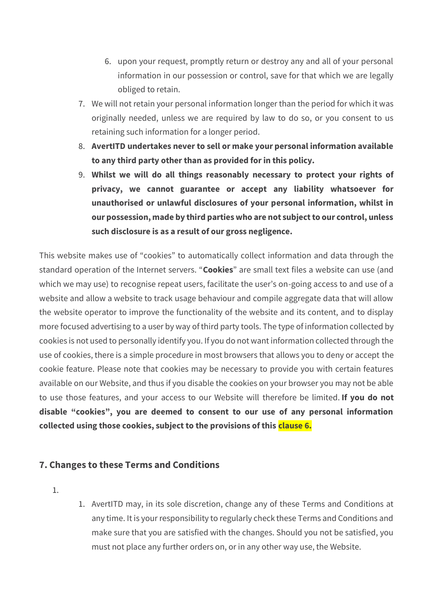- 6. upon your request, promptly return or destroy any and all of your personal information in our possession or control, save for that which we are legally obliged to retain.
- 7. We will not retain your personal information longer than the period for which it was originally needed, unless we are required by law to do so, or you consent to us retaining such information for a longer period.
- 8. **AvertITD undertakes never to sell or make your personal information available to any third party other than as provided for in this policy.**
- 9. **Whilst we will do all things reasonably necessary to protect your rights of privacy, we cannot guarantee or accept any liability whatsoever for unauthorised or unlawful disclosures of your personal information, whilst in our possession, made by third parties who are not subject to our control, unless such disclosure is as a result of our gross negligence.**

This website makes use of "cookies" to automatically collect information and data through the standard operation of the Internet servers. "**Cookies**" are small text files a website can use (and which we may use) to recognise repeat users, facilitate the user's on-going access to and use of a website and allow a website to track usage behaviour and compile aggregate data that will allow the website operator to improve the functionality of the website and its content, and to display more focused advertising to a user by way of third party tools. The type of information collected by cookies is not used to personally identify you. If you do not want information collected through the use of cookies, there is a simple procedure in most browsers that allows you to deny or accept the cookie feature. Please note that cookies may be necessary to provide you with certain features available on our Website, and thus if you disable the cookies on your browser you may not be able to use those features, and your access to our Website will therefore be limited. **If you do not disable "cookies", you are deemed to consent to our use of any personal information collected using those cookies, subject to the provisions of this clause 6.**

## **7. Changes to these Terms and Conditions**

- 1.
- 1. AvertITD may, in its sole discretion, change any of these Terms and Conditions at any time. It is your responsibility to regularly check these Terms and Conditions and make sure that you are satisfied with the changes. Should you not be satisfied, you must not place any further orders on, or in any other way use, the Website.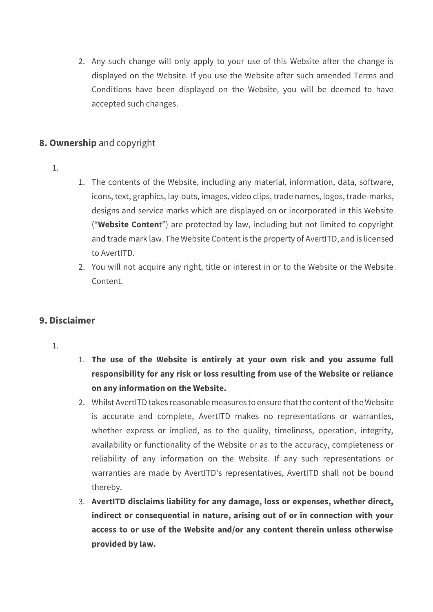2. Any such change will only apply to your use of this Website after the change is displayed on the Website. If you use the Website after such amended Terms and Conditions have been displayed on the Website, you will be deemed to have accepted such changes.

# **8. Ownership** and copyright

- 1.
- 1. The contents of the Website, including any material, information, data, software, icons, text, graphics, lay-outs, images, video clips, trade names, logos, trade-marks, designs and service marks which are displayed on or incorporated in this Website ("**Website Conten**t") are protected by law, including but not limited to copyright and trade mark law. The Website Content is the property of AvertITD, and is licensed to AvertITD.
- 2. You will not acquire any right, title or interest in or to the Website or the Website Content.

## **9. Disclaimer**

- 1.
- 1. **The use of the Website is entirely at your own risk and you assume full responsibility for any risk or loss resulting from use of the Website or reliance on any information on the Website.**
- 2. Whilst AvertITD takes reasonable measures to ensure that the content of the Website is accurate and complete, AvertITD makes no representations or warranties, whether express or implied, as to the quality, timeliness, operation, integrity, availability or functionality of the Website or as to the accuracy, completeness or reliability of any information on the Website. If any such representations or warranties are made by AvertITD's representatives, AvertITD shall not be bound thereby.
- 3. **AvertITD disclaims liability for any damage, loss or expenses, whether direct, indirect or consequential in nature, arising out of or in connection with your access to or use of the Website and/or any content therein unless otherwise provided by law.**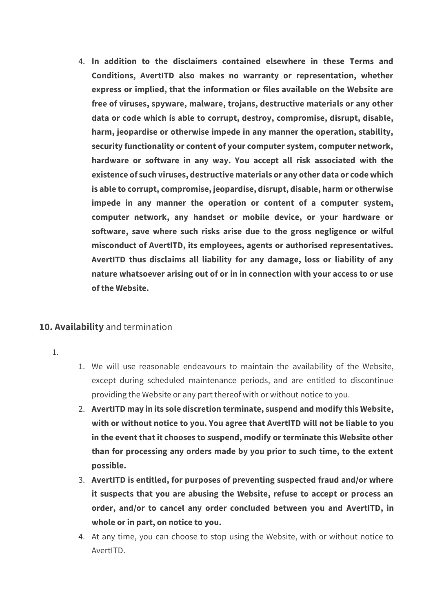4. **In addition to the disclaimers contained elsewhere in these Terms and Conditions, AvertITD also makes no warranty or representation, whether express or implied, that the information or files available on the Website are free of viruses, spyware, malware, trojans, destructive materials or any other data or code which is able to corrupt, destroy, compromise, disrupt, disable, harm, jeopardise or otherwise impede in any manner the operation, stability, security functionality or content of your computer system, computer network, hardware or software in any way. You accept all risk associated with the existence of such viruses, destructive materials or any other data or code which is able to corrupt, compromise, jeopardise, disrupt, disable, harm or otherwise impede in any manner the operation or content of a computer system, computer network, any handset or mobile device, or your hardware or software, save where such risks arise due to the gross negligence or wilful misconduct of AvertITD, its employees, agents or authorised representatives. AvertITD thus disclaims all liability for any damage, loss or liability of any nature whatsoever arising out of or in in connection with your access to or use of the Website.**

## **10. Availability** and termination

- 1.
- 1. We will use reasonable endeavours to maintain the availability of the Website, except during scheduled maintenance periods, and are entitled to discontinue providing the Website or any part thereof with or without notice to you.
- 2. **AvertITD may in its sole discretion terminate, suspend and modify this Website, with or without notice to you. You agree that AvertITD will not be liable to you in the event that it chooses to suspend, modify or terminate this Website other than for processing any orders made by you prior to such time, to the extent possible.**
- 3. **AvertITD is entitled, for purposes of preventing suspected fraud and/or where it suspects that you are abusing the Website, refuse to accept or process an order, and/or to cancel any order concluded between you and AvertITD, in whole or in part, on notice to you.**
- 4. At any time, you can choose to stop using the Website, with or without notice to AvertITD.